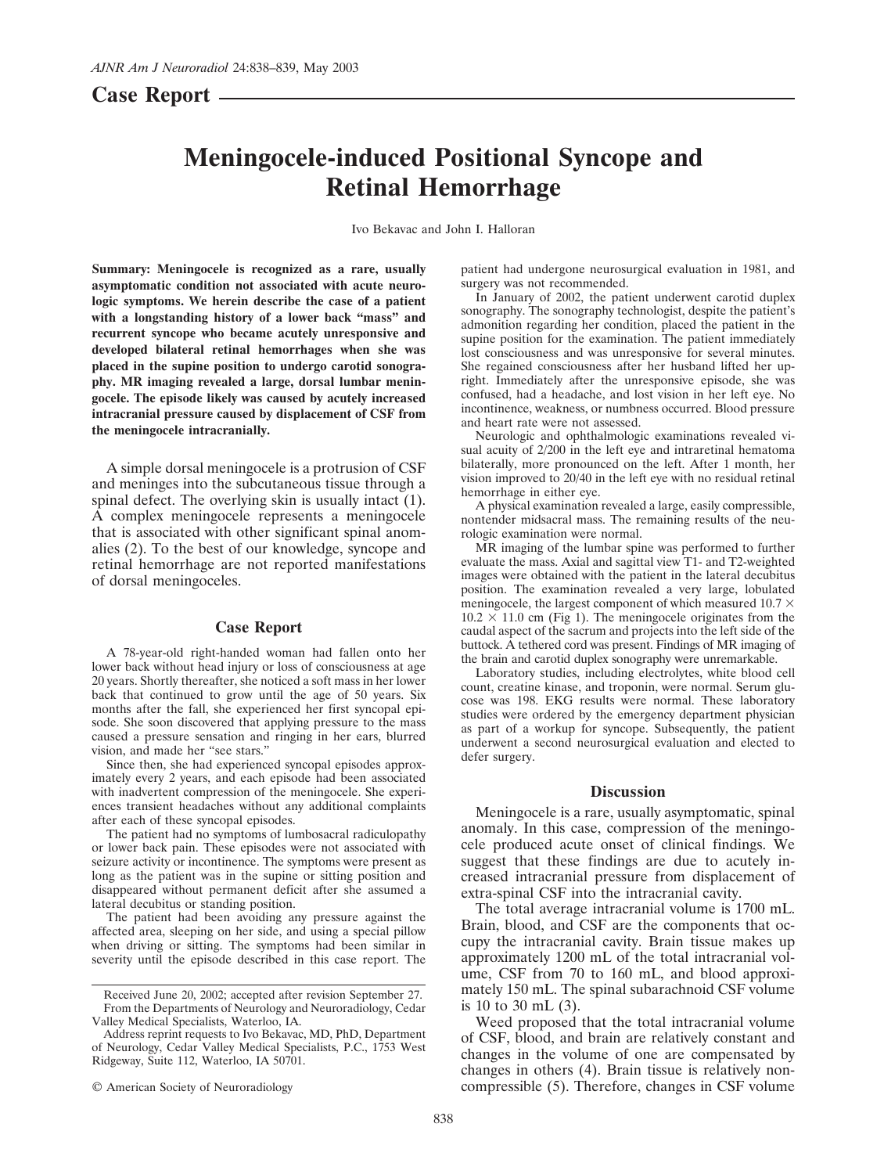## **Case Report**

# **Meningocele-induced Positional Syncope and Retinal Hemorrhage**

Ivo Bekavac and John I. Halloran

**Summary: Meningocele is recognized as a rare, usually asymptomatic condition not associated with acute neurologic symptoms. We herein describe the case of a patient with a longstanding history of a lower back "mass" and recurrent syncope who became acutely unresponsive and developed bilateral retinal hemorrhages when she was placed in the supine position to undergo carotid sonography. MR imaging revealed a large, dorsal lumbar meningocele. The episode likely was caused by acutely increased intracranial pressure caused by displacement of CSF from the meningocele intracranially.**

A simple dorsal meningocele is a protrusion of CSF and meninges into the subcutaneous tissue through a spinal defect. The overlying skin is usually intact (1). A complex meningocele represents a meningocele that is associated with other significant spinal anomalies (2). To the best of our knowledge, syncope and retinal hemorrhage are not reported manifestations of dorsal meningoceles.

#### **Case Report**

A 78-year-old right-handed woman had fallen onto her lower back without head injury or loss of consciousness at age 20 years. Shortly thereafter, she noticed a soft mass in her lower back that continued to grow until the age of 50 years. Six months after the fall, she experienced her first syncopal episode. She soon discovered that applying pressure to the mass caused a pressure sensation and ringing in her ears, blurred vision, and made her "see stars."

Since then, she had experienced syncopal episodes approximately every 2 years, and each episode had been associated with inadvertent compression of the meningocele. She experiences transient headaches without any additional complaints after each of these syncopal episodes.

The patient had no symptoms of lumbosacral radiculopathy or lower back pain. These episodes were not associated with seizure activity or incontinence. The symptoms were present as long as the patient was in the supine or sitting position and disappeared without permanent deficit after she assumed a lateral decubitus or standing position.

The patient had been avoiding any pressure against the affected area, sleeping on her side, and using a special pillow when driving or sitting. The symptoms had been similar in severity until the episode described in this case report. The patient had undergone neurosurgical evaluation in 1981, and surgery was not recommended.

In January of 2002, the patient underwent carotid duplex sonography. The sonography technologist, despite the patient's admonition regarding her condition, placed the patient in the supine position for the examination. The patient immediately lost consciousness and was unresponsive for several minutes. She regained consciousness after her husband lifted her upright. Immediately after the unresponsive episode, she was confused, had a headache, and lost vision in her left eye. No incontinence, weakness, or numbness occurred. Blood pressure and heart rate were not assessed.

Neurologic and ophthalmologic examinations revealed visual acuity of 2/200 in the left eye and intraretinal hematoma bilaterally, more pronounced on the left. After 1 month, her vision improved to 20/40 in the left eye with no residual retinal hemorrhage in either eye.

A physical examination revealed a large, easily compressible, nontender midsacral mass. The remaining results of the neurologic examination were normal.

MR imaging of the lumbar spine was performed to further evaluate the mass. Axial and sagittal view T1- and T2-weighted images were obtained with the patient in the lateral decubitus position. The examination revealed a very large, lobulated meningocele, the largest component of which measured  $10.7 \times$  $10.2 \times 11.0$  cm (Fig 1). The meningocele originates from the caudal aspect of the sacrum and projects into the left side of the buttock. A tethered cord was present. Findings of MR imaging of the brain and carotid duplex sonography were unremarkable.

Laboratory studies, including electrolytes, white blood cell count, creatine kinase, and troponin, were normal. Serum glucose was 198. EKG results were normal. These laboratory studies were ordered by the emergency department physician as part of a workup for syncope. Subsequently, the patient underwent a second neurosurgical evaluation and elected to defer surgery.

### **Discussion**

Meningocele is a rare, usually asymptomatic, spinal anomaly. In this case, compression of the meningocele produced acute onset of clinical findings. We suggest that these findings are due to acutely increased intracranial pressure from displacement of extra-spinal CSF into the intracranial cavity.

The total average intracranial volume is 1700 mL. Brain, blood, and CSF are the components that occupy the intracranial cavity. Brain tissue makes up approximately 1200 mL of the total intracranial volume, CSF from 70 to 160 mL, and blood approximately 150 mL. The spinal subarachnoid CSF volume is 10 to 30 mL (3).

Weed proposed that the total intracranial volume of CSF, blood, and brain are relatively constant and changes in the volume of one are compensated by changes in others (4). Brain tissue is relatively noncompressible (5). Therefore, changes in CSF volume

Received June 20, 2002; accepted after revision September 27. From the Departments of Neurology and Neuroradiology, Cedar Valley Medical Specialists, Waterloo, IA.

Address reprint requests to Ivo Bekavac, MD, PhD, Department of Neurology, Cedar Valley Medical Specialists, P.C., 1753 West Ridgeway, Suite 112, Waterloo, IA 50701.

<sup>©</sup> American Society of Neuroradiology